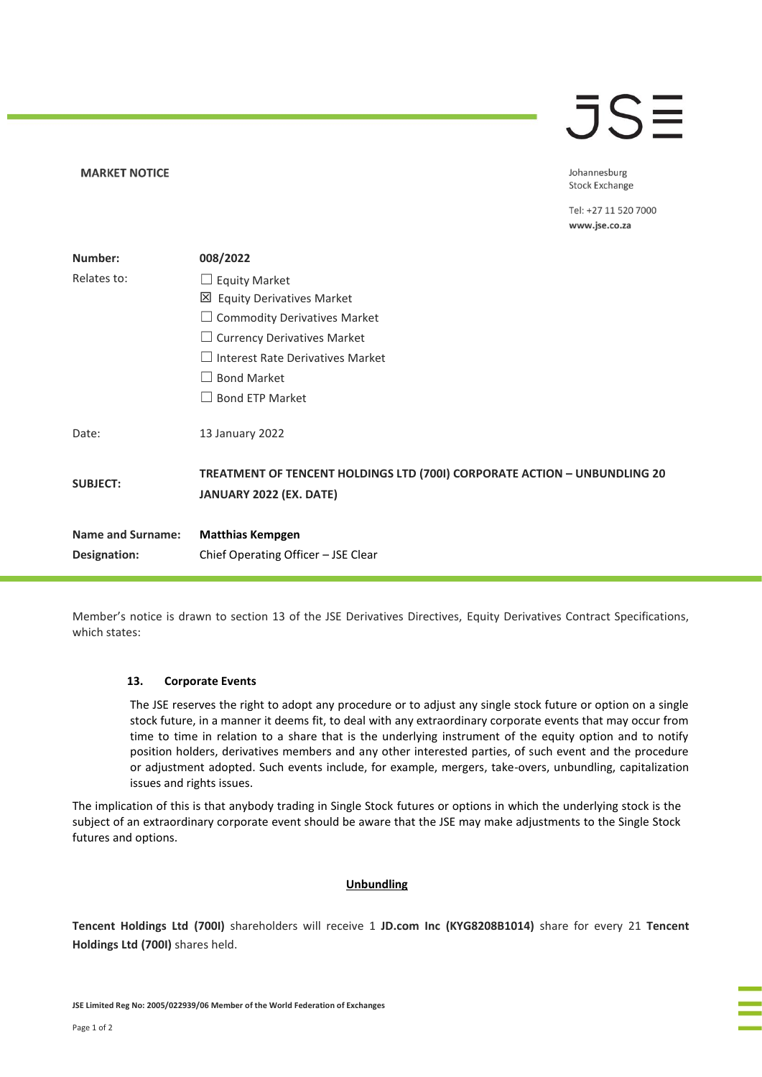# **JSE**

Johannesburg **Stock Exchange** 

Tel: +27 11 520 7000 www.jse.co.za

| Number:                  | 008/2022                                                                                             |
|--------------------------|------------------------------------------------------------------------------------------------------|
| Relates to:              | $\Box$ Equity Market                                                                                 |
|                          | $\boxtimes$ Equity Derivatives Market                                                                |
|                          | $\Box$ Commodity Derivatives Market                                                                  |
|                          | $\Box$ Currency Derivatives Market                                                                   |
|                          | $\Box$ Interest Rate Derivatives Market                                                              |
|                          | <b>Bond Market</b>                                                                                   |
|                          | <b>Bond ETP Market</b>                                                                               |
| Date:                    | 13 January 2022                                                                                      |
| <b>SUBJECT:</b>          | TREATMENT OF TENCENT HOLDINGS LTD (700I) CORPORATE ACTION - UNBUNDLING 20<br>JANUARY 2022 (EX. DATE) |
| <b>Name and Surname:</b> | <b>Matthias Kempgen</b>                                                                              |
| Designation:             | Chief Operating Officer - JSE Clear                                                                  |

Member's notice is drawn to section 13 of the JSE Derivatives Directives, Equity Derivatives Contract Specifications, which states:

## **13. Corporate Events**

**MARKET NOTICE** 

The JSE reserves the right to adopt any procedure or to adjust any single stock future or option on a single stock future, in a manner it deems fit, to deal with any extraordinary corporate events that may occur from time to time in relation to a share that is the underlying instrument of the equity option and to notify position holders, derivatives members and any other interested parties, of such event and the procedure or adjustment adopted. Such events include, for example, mergers, take-overs, unbundling, capitalization issues and rights issues.

The implication of this is that anybody trading in Single Stock futures or options in which the underlying stock is the subject of an extraordinary corporate event should be aware that the JSE may make adjustments to the Single Stock futures and options.

## **Unbundling**

**Tencent Holdings Ltd (700I)** shareholders will receive 1 **JD.com Inc (KYG8208B1014)** share for every 21 **Tencent Holdings Ltd (700I)** shares held.